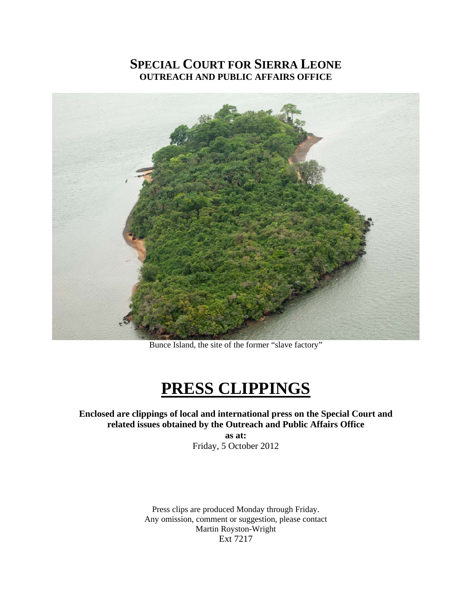## **SPECIAL COURT FOR SIERRA LEONE OUTREACH AND PUBLIC AFFAIRS OFFICE**



Bunce Island, the site of the former "slave factory"

# **PRESS CLIPPINGS**

### **Enclosed are clippings of local and international press on the Special Court and related issues obtained by the Outreach and Public Affairs Office**

**as at:**  Friday, 5 October 2012

Press clips are produced Monday through Friday. Any omission, comment or suggestion, please contact Martin Royston-Wright Ext 7217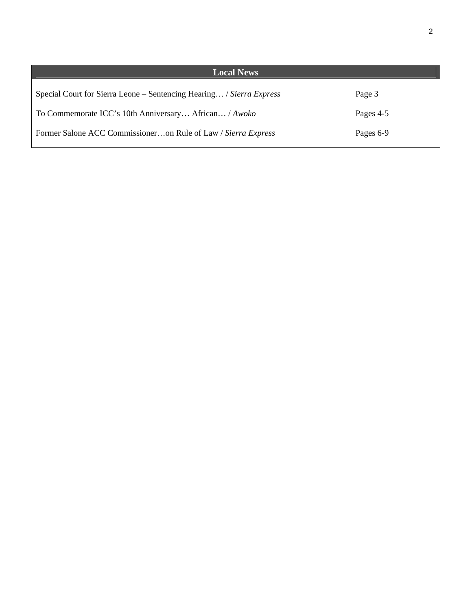| <b>Local News</b>                                                    |           |
|----------------------------------------------------------------------|-----------|
| Special Court for Sierra Leone – Sentencing Hearing / Sierra Express | Page 3    |
| To Commemorate ICC's 10th Anniversary African / Awoko                | Pages 4-5 |
| Former Salone ACC Commissioneron Rule of Law / Sierra Express        | Pages 6-9 |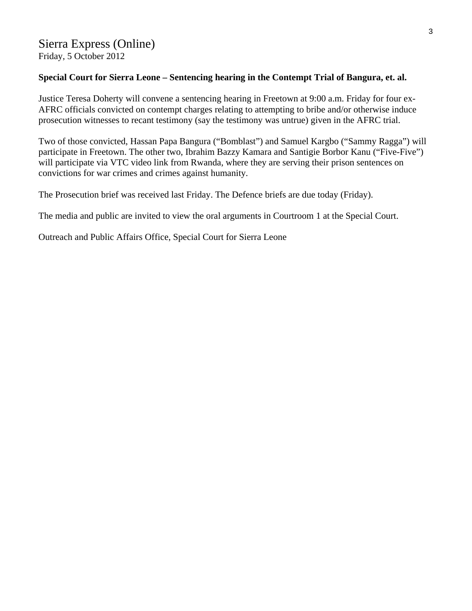#### **Special Court for Sierra Leone – Sentencing hearing in the Contempt Trial of Bangura, et. al.**

Justice Teresa Doherty will convene a sentencing hearing in Freetown at 9:00 a.m. Friday for four ex-AFRC officials convicted on contempt charges relating to attempting to bribe and/or otherwise induce prosecution witnesses to recant testimony (say the testimony was untrue) given in the AFRC trial.

Two of those convicted, Hassan Papa Bangura ("Bomblast") and Samuel Kargbo ("Sammy Ragga") will participate in Freetown. The other two, Ibrahim Bazzy Kamara and Santigie Borbor Kanu ("Five-Five") will participate via VTC video link from Rwanda, where they are serving their prison sentences on convictions for war crimes and crimes against humanity.

The Prosecution brief was received last Friday. The Defence briefs are due today (Friday).

The media and public are invited to view the oral arguments in Courtroom 1 at the Special Court.

Outreach and Public Affairs Office, Special Court for Sierra Leone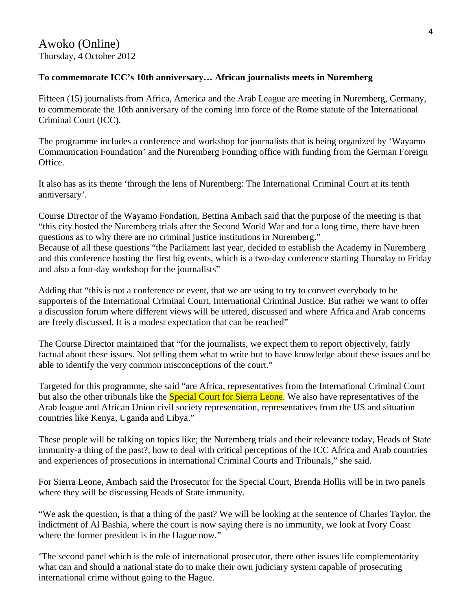#### **To commemorate ICC's 10th anniversary… African journalists meets in Nuremberg**

Fifteen (15) journalists from Africa, America and the Arab League are meeting in Nuremberg, Germany, to commemorate the 10th anniversary of the coming into force of the Rome statute of the International Criminal Court (ICC).

The programme includes a conference and workshop for journalists that is being organized by 'Wayamo Communication Foundation' and the Nuremberg Founding office with funding from the German Foreign Office.

It also has as its theme 'through the lens of Nuremberg: The International Criminal Court at its tenth anniversary'.

Course Director of the Wayamo Fondation, Bettina Ambach said that the purpose of the meeting is that "this city hosted the Nuremberg trials after the Second World War and for a long time, there have been questions as to why there are no criminal justice institutions in Nuremberg." Because of all these questions "the Parliament last year, decided to establish the Academy in Nuremberg

and this conference hosting the first big events, which is a two-day conference starting Thursday to Friday and also a four-day workshop for the journalists"

Adding that "this is not a conference or event, that we are using to try to convert everybody to be supporters of the International Criminal Court, International Criminal Justice. But rather we want to offer a discussion forum where different views will be uttered, discussed and where Africa and Arab concerns are freely discussed. It is a modest expectation that can be reached"

The Course Director maintained that "for the journalists, we expect them to report objectively, fairly factual about these issues. Not telling them what to write but to have knowledge about these issues and be able to identify the very common misconceptions of the court."

Targeted for this programme, she said "are Africa, representatives from the International Criminal Court but also the other tribunals like the **Special Court for Sierra Leone**. We also have representatives of the Arab league and African Union civil society representation, representatives from the US and situation countries like Kenya, Uganda and Libya."

These people will be talking on topics like; the Nuremberg trials and their relevance today, Heads of State immunity-a thing of the past?, how to deal with critical perceptions of the ICC Africa and Arab countries and experiences of prosecutions in international Criminal Courts and Tribunals," she said.

For Sierra Leone, Ambach said the Prosecutor for the Special Court, Brenda Hollis will be in two panels where they will be discussing Heads of State immunity.

"We ask the question, is that a thing of the past? We will be looking at the sentence of Charles Taylor, the indictment of Al Bashia, where the court is now saying there is no immunity, we look at Ivory Coast where the former president is in the Hague now."

'The second panel which is the role of international prosecutor, there other issues life complementarity what can and should a national state do to make their own judiciary system capable of prosecuting international crime without going to the Hague.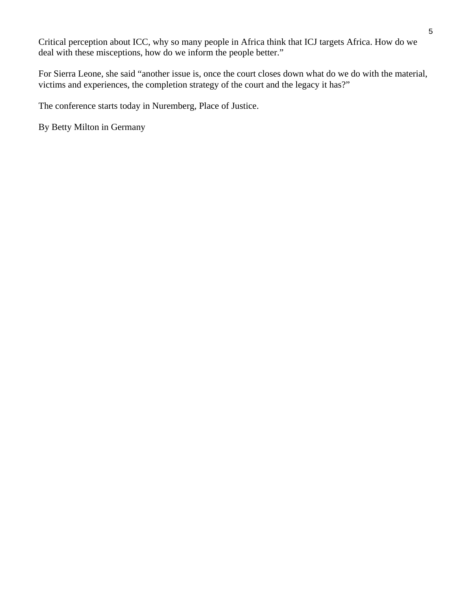Critical perception about ICC, why so many people in Africa think that ICJ targets Africa. How do we deal with these misceptions, how do we inform the people better."

For Sierra Leone, she said "another issue is, once the court closes down what do we do with the material, victims and experiences, the completion strategy of the court and the legacy it has?"

The conference starts today in Nuremberg, Place of Justice.

By Betty Milton in Germany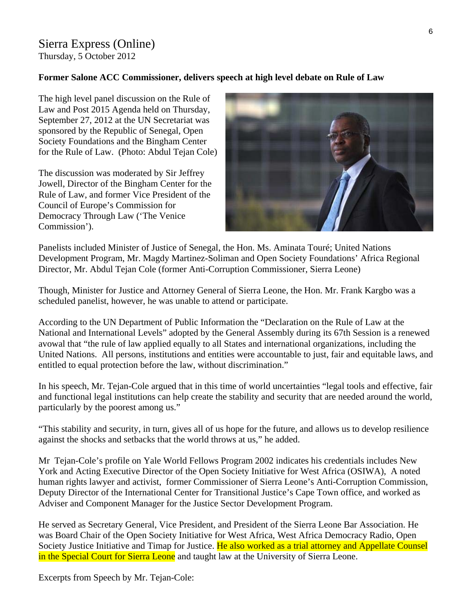# Sierra Express (Online)

Thursday, 5 October 2012

### **Former Salone ACC Commissioner, delivers speech at high level debate on Rule of Law**

The high level panel discussion on the Rule of Law and Post 2015 Agenda held on Thursday, September 27, 2012 at the UN Secretariat was sponsored by the Republic of Senegal, Open Society Foundations and the Bingham Center for the Rule of Law. (Photo: Abdul Tejan Cole)

The discussion was moderated by Sir Jeffrey Jowell, Director of the Bingham Center for the Rule of Law, and former Vice President of the Council of Europe's Commission for Democracy Through Law ('The Venice Commission').



Panelists included Minister of Justice of Senegal, the Hon. Ms. Aminata Touré; United Nations Development Program, Mr. Magdy Martinez-Soliman and Open Society Foundations' Africa Regional Director, Mr. Abdul Tejan Cole (former Anti-Corruption Commissioner, Sierra Leone)

Though, Minister for Justice and Attorney General of Sierra Leone, the Hon. Mr. Frank Kargbo was a scheduled panelist, however, he was unable to attend or participate.

According to the UN Department of Public Information the "Declaration on the Rule of Law at the National and International Levels" adopted by the General Assembly during its 67th Session is a renewed avowal that "the rule of law applied equally to all States and international organizations, including the United Nations. All persons, institutions and entities were accountable to just, fair and equitable laws, and entitled to equal protection before the law, without discrimination."

In his speech, Mr. Tejan-Cole argued that in this time of world uncertainties "legal tools and effective, fair and functional legal institutions can help create the stability and security that are needed around the world, particularly by the poorest among us."

"This stability and security, in turn, gives all of us hope for the future, and allows us to develop resilience against the shocks and setbacks that the world throws at us," he added.

Mr Tejan-Cole's profile on Yale World Fellows Program 2002 indicates his credentials includes New York and Acting Executive Director of the Open Society Initiative for West Africa (OSIWA), A noted human rights lawyer and activist, former Commissioner of Sierra Leone's Anti-Corruption Commission, Deputy Director of the International Center for Transitional Justice's Cape Town office, and worked as Adviser and Component Manager for the Justice Sector Development Program.

He served as Secretary General, Vice President, and President of the Sierra Leone Bar Association. He was Board Chair of the Open Society Initiative for West Africa, West Africa Democracy Radio, Open Society Justice Initiative and Timap for Justice. He also worked as a trial attorney and Appellate Counsel in the Special Court for Sierra Leone and taught law at the University of Sierra Leone.

Excerpts from Speech by Mr. Tejan-Cole: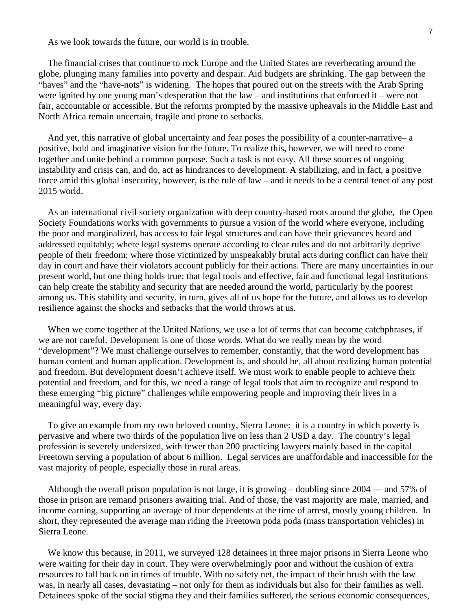As we look towards the future, our world is in trouble.

 The financial crises that continue to rock Europe and the United States are reverberating around the globe, plunging many families into poverty and despair. Aid budgets are shrinking. The gap between the "haves" and the "have-nots" is widening. The hopes that poured out on the streets with the Arab Spring were ignited by one young man's desperation that the law – and institutions that enforced it – were not fair, accountable or accessible. But the reforms prompted by the massive upheavals in the Middle East and North Africa remain uncertain, fragile and prone to setbacks.

 And yet, this narrative of global uncertainty and fear poses the possibility of a counter-narrative– a positive, bold and imaginative vision for the future. To realize this, however, we will need to come together and unite behind a common purpose. Such a task is not easy. All these sources of ongoing instability and crisis can, and do, act as hindrances to development. A stabilizing, and in fact, a positive force amid this global insecurity, however, is the rule of law – and it needs to be a central tenet of any post 2015 world.

 As an international civil society organization with deep country-based roots around the globe, the Open Society Foundations works with governments to pursue a vision of the world where everyone, including the poor and marginalized, has access to fair legal structures and can have their grievances heard and addressed equitably; where legal systems operate according to clear rules and do not arbitrarily deprive people of their freedom; where those victimized by unspeakably brutal acts during conflict can have their day in court and have their violators account publicly for their actions. There are many uncertainties in our present world, but one thing holds true: that legal tools and effective, fair and functional legal institutions can help create the stability and security that are needed around the world, particularly by the poorest among us. This stability and security, in turn, gives all of us hope for the future, and allows us to develop resilience against the shocks and setbacks that the world throws at us.

When we come together at the United Nations, we use a lot of terms that can become catchphrases, if we are not careful. Development is one of those words. What do we really mean by the word "development"? We must challenge ourselves to remember, constantly, that the word development has human content and human application. Development is, and should be, all about realizing human potential and freedom. But development doesn't achieve itself. We must work to enable people to achieve their potential and freedom, and for this, we need a range of legal tools that aim to recognize and respond to these emerging "big picture" challenges while empowering people and improving their lives in a meaningful way, every day.

 To give an example from my own beloved country, Sierra Leone: it is a country in which poverty is pervasive and where two thirds of the population live on less than 2 USD a day. The country's legal profession is severely undersized, with fewer than 200 practicing lawyers mainly based in the capital Freetown serving a population of about 6 million. Legal services are unaffordable and inaccessible for the vast majority of people, especially those in rural areas.

 Although the overall prison population is not large, it is growing – doubling since 2004 — and 57% of those in prison are remand prisoners awaiting trial. And of those, the vast majority are male, married, and income earning, supporting an average of four dependents at the time of arrest, mostly young children. In short, they represented the average man riding the Freetown poda poda (mass transportation vehicles) in Sierra Leone.

 We know this because, in 2011, we surveyed 128 detainees in three major prisons in Sierra Leone who were waiting for their day in court. They were overwhelmingly poor and without the cushion of extra resources to fall back on in times of trouble. With no safety net, the impact of their brush with the law was, in nearly all cases, devastating – not only for them as individuals but also for their families as well. Detainees spoke of the social stigma they and their families suffered, the serious economic consequences,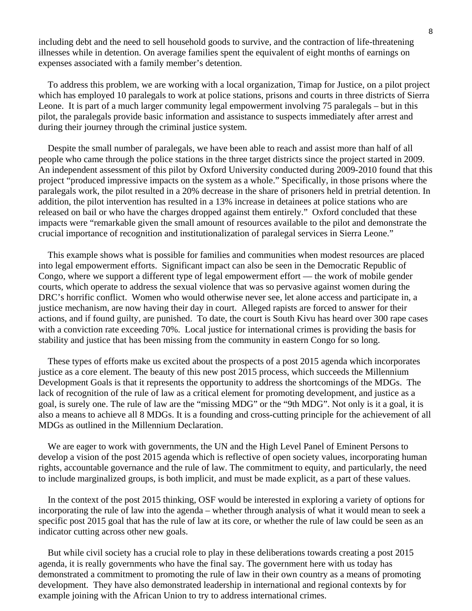including debt and the need to sell household goods to survive, and the contraction of life-threatening illnesses while in detention. On average families spent the equivalent of eight months of earnings on expenses associated with a family member's detention.

 To address this problem, we are working with a local organization, Timap for Justice, on a pilot project which has employed 10 paralegals to work at police stations, prisons and courts in three districts of Sierra Leone. It is part of a much larger community legal empowerment involving 75 paralegals – but in this pilot, the paralegals provide basic information and assistance to suspects immediately after arrest and during their journey through the criminal justice system.

 Despite the small number of paralegals, we have been able to reach and assist more than half of all people who came through the police stations in the three target districts since the project started in 2009. An independent assessment of this pilot by Oxford University conducted during 2009-2010 found that this project "produced impressive impacts on the system as a whole." Specifically, in those prisons where the paralegals work, the pilot resulted in a 20% decrease in the share of prisoners held in pretrial detention. In addition, the pilot intervention has resulted in a 13% increase in detainees at police stations who are released on bail or who have the charges dropped against them entirely." Oxford concluded that these impacts were "remarkable given the small amount of resources available to the pilot and demonstrate the crucial importance of recognition and institutionalization of paralegal services in Sierra Leone."

 This example shows what is possible for families and communities when modest resources are placed into legal empowerment efforts. Significant impact can also be seen in the Democratic Republic of Congo, where we support a different type of legal empowerment effort — the work of mobile gender courts, which operate to address the sexual violence that was so pervasive against women during the DRC's horrific conflict. Women who would otherwise never see, let alone access and participate in, a justice mechanism, are now having their day in court. Alleged rapists are forced to answer for their actions, and if found guilty, are punished. To date, the court is South Kivu has heard over 300 rape cases with a conviction rate exceeding 70%. Local justice for international crimes is providing the basis for stability and justice that has been missing from the community in eastern Congo for so long.

 These types of efforts make us excited about the prospects of a post 2015 agenda which incorporates justice as a core element. The beauty of this new post 2015 process, which succeeds the Millennium Development Goals is that it represents the opportunity to address the shortcomings of the MDGs. The lack of recognition of the rule of law as a critical element for promoting development, and justice as a goal, is surely one. The rule of law are the "missing MDG" or the "9th MDG". Not only is it a goal, it is also a means to achieve all 8 MDGs. It is a founding and cross-cutting principle for the achievement of all MDGs as outlined in the Millennium Declaration.

 We are eager to work with governments, the UN and the High Level Panel of Eminent Persons to develop a vision of the post 2015 agenda which is reflective of open society values, incorporating human rights, accountable governance and the rule of law. The commitment to equity, and particularly, the need to include marginalized groups, is both implicit, and must be made explicit, as a part of these values.

 In the context of the post 2015 thinking, OSF would be interested in exploring a variety of options for incorporating the rule of law into the agenda – whether through analysis of what it would mean to seek a specific post 2015 goal that has the rule of law at its core, or whether the rule of law could be seen as an indicator cutting across other new goals.

 But while civil society has a crucial role to play in these deliberations towards creating a post 2015 agenda, it is really governments who have the final say. The government here with us today has demonstrated a commitment to promoting the rule of law in their own country as a means of promoting development. They have also demonstrated leadership in international and regional contexts by for example joining with the African Union to try to address international crimes.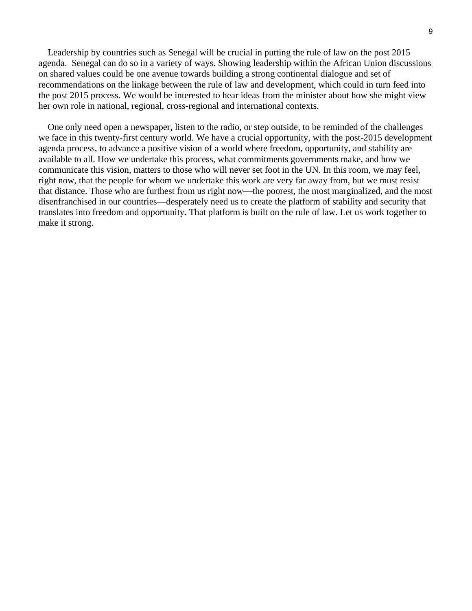Leadership by countries such as Senegal will be crucial in putting the rule of law on the post 2015 agenda. Senegal can do so in a variety of ways. Showing leadership within the African Union discussions on shared values could be one avenue towards building a strong continental dialogue and set of recommendations on the linkage between the rule of law and development, which could in turn feed into the post 2015 process. We would be interested to hear ideas from the minister about how she might view her own role in national, regional, cross-regional and international contexts.

 One only need open a newspaper, listen to the radio, or step outside, to be reminded of the challenges we face in this twenty-first century world. We have a crucial opportunity, with the post-2015 development agenda process, to advance a positive vision of a world where freedom, opportunity, and stability are available to all. How we undertake this process, what commitments governments make, and how we communicate this vision, matters to those who will never set foot in the UN. In this room, we may feel, right now, that the people for whom we undertake this work are very far away from, but we must resist that distance. Those who are furthest from us right now—the poorest, the most marginalized, and the most disenfranchised in our countries—desperately need us to create the platform of stability and security that translates into freedom and opportunity. That platform is built on the rule of law. Let us work together to make it strong.